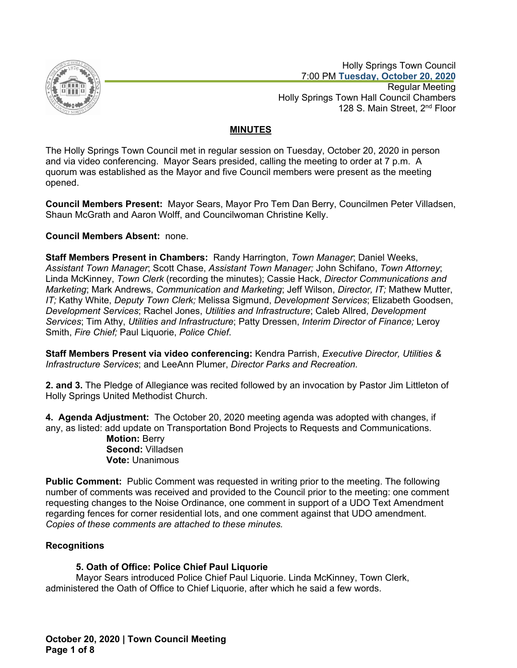

 Holly Springs Town Council 7:00 PM **Tuesday, October 20, 2020** Regular Meeting Holly Springs Town Hall Council Chambers 128 S. Main Street, 2<sup>nd</sup> Floor

# **MINUTES**

The Holly Springs Town Council met in regular session on Tuesday, October 20, 2020 in person and via video conferencing. Mayor Sears presided, calling the meeting to order at 7 p.m. A quorum was established as the Mayor and five Council members were present as the meeting opened.

**Council Members Present:** Mayor Sears, Mayor Pro Tem Dan Berry, Councilmen Peter Villadsen, Shaun McGrath and Aaron Wolff, and Councilwoman Christine Kelly.

## **Council Members Absent:** none.

**Staff Members Present in Chambers:** Randy Harrington, *Town Manager*; Daniel Weeks, *Assistant Town Manager*; Scott Chase, *Assistant Town Manager;* John Schifano, *Town Attorney*; Linda McKinney, *Town Clerk* (recording the minutes); Cassie Hack, *Director Communications and Marketing*; Mark Andrews, *Communication and Marketing*; Jeff Wilson, *Director, IT;* Mathew Mutter, *IT;* Kathy White, *Deputy Town Clerk;* Melissa Sigmund, *Development Services*; Elizabeth Goodsen, *Development Services*; Rachel Jones, *Utilities and Infrastructure*; Caleb Allred, *Development Services*; Tim Athy, *Utilities and Infrastructure*; Patty Dressen, *Interim Director of Finance;* Leroy Smith, *Fire Chief;* Paul Liquorie, *Police Chief*.

**Staff Members Present via video conferencing:** Kendra Parrish, *Executive Director, Utilities & Infrastructure Services*; and LeeAnn Plumer, *Director Parks and Recreation.*

**2. and 3.** The Pledge of Allegiance was recited followed by an invocation by Pastor Jim Littleton of Holly Springs United Methodist Church.

**4. Agenda Adjustment:** The October 20, 2020 meeting agenda was adopted with changes, if any, as listed: add update on Transportation Bond Projects to Requests and Communications.

**Motion:** Berry **Second:** Villadsen **Vote:** Unanimous

**Public Comment:** Public Comment was requested in writing prior to the meeting. The following number of comments was received and provided to the Council prior to the meeting: one comment requesting changes to the Noise Ordinance, one comment in support of a UDO Text Amendment regarding fences for corner residential lots, and one comment against that UDO amendment. *Copies of these comments are attached to these minutes.*

## **Recognitions**

## **5. Oath of Office: Police Chief Paul Liquorie**

Mayor Sears introduced Police Chief Paul Liquorie. Linda McKinney, Town Clerk, administered the Oath of Office to Chief Liquorie, after which he said a few words.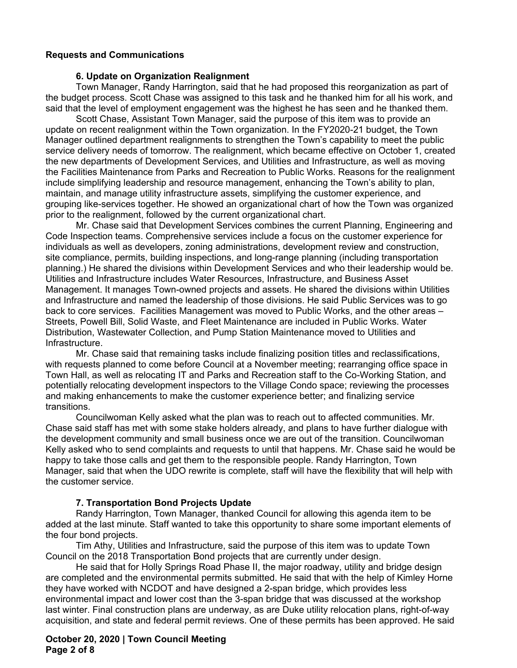### **Requests and Communications**

#### **6. Update on Organization Realignment**

Town Manager, Randy Harrington, said that he had proposed this reorganization as part of the budget process. Scott Chase was assigned to this task and he thanked him for all his work, and said that the level of employment engagement was the highest he has seen and he thanked them.

Scott Chase, Assistant Town Manager, said the purpose of this item was to provide an update on recent realignment within the Town organization. In the FY2020-21 budget, the Town Manager outlined department realignments to strengthen the Town's capability to meet the public service delivery needs of tomorrow. The realignment, which became effective on October 1, created the new departments of Development Services, and Utilities and Infrastructure, as well as moving the Facilities Maintenance from Parks and Recreation to Public Works. Reasons for the realignment include simplifying leadership and resource management, enhancing the Town's ability to plan, maintain, and manage utility infrastructure assets, simplifying the customer experience, and grouping like-services together. He showed an organizational chart of how the Town was organized prior to the realignment, followed by the current organizational chart.

Mr. Chase said that Development Services combines the current Planning, Engineering and Code Inspection teams. Comprehensive services include a focus on the customer experience for individuals as well as developers, zoning administrations, development review and construction, site compliance, permits, building inspections, and long-range planning (including transportation planning.) He shared the divisions within Development Services and who their leadership would be. Utilities and Infrastructure includes Water Resources, Infrastructure, and Business Asset Management. It manages Town-owned projects and assets. He shared the divisions within Utilities and Infrastructure and named the leadership of those divisions. He said Public Services was to go back to core services. Facilities Management was moved to Public Works, and the other areas -Streets, Powell Bill, Solid Waste, and Fleet Maintenance are included in Public Works. Water Distribution, Wastewater Collection, and Pump Station Maintenance moved to Utilities and Infrastructure.

Mr. Chase said that remaining tasks include finalizing position titles and reclassifications, with requests planned to come before Council at a November meeting; rearranging office space in Town Hall, as well as relocating IT and Parks and Recreation staff to the Co-Working Station, and potentially relocating development inspectors to the Village Condo space; reviewing the processes and making enhancements to make the customer experience better; and finalizing service transitions.

Councilwoman Kelly asked what the plan was to reach out to affected communities. Mr. Chase said staff has met with some stake holders already, and plans to have further dialogue with the development community and small business once we are out of the transition. Councilwoman Kelly asked who to send complaints and requests to until that happens. Mr. Chase said he would be happy to take those calls and get them to the responsible people. Randy Harrington, Town Manager, said that when the UDO rewrite is complete, staff will have the flexibility that will help with the customer service.

#### **7. Transportation Bond Projects Update**

Randy Harrington, Town Manager, thanked Council for allowing this agenda item to be added at the last minute. Staff wanted to take this opportunity to share some important elements of the four bond projects.

Tim Athy, Utilities and Infrastructure, said the purpose of this item was to update Town Council on the 2018 Transportation Bond projects that are currently under design.

He said that for Holly Springs Road Phase II, the major roadway, utility and bridge design are completed and the environmental permits submitted. He said that with the help of Kimley Horne they have worked with NCDOT and have designed a 2-span bridge, which provides less environmental impact and lower cost than the 3-span bridge that was discussed at the workshop last winter. Final construction plans are underway, as are Duke utility relocation plans, right-of-way acquisition, and state and federal permit reviews. One of these permits has been approved. He said

**October 20, 2020 | Town Council Meeting Page 2 of 8**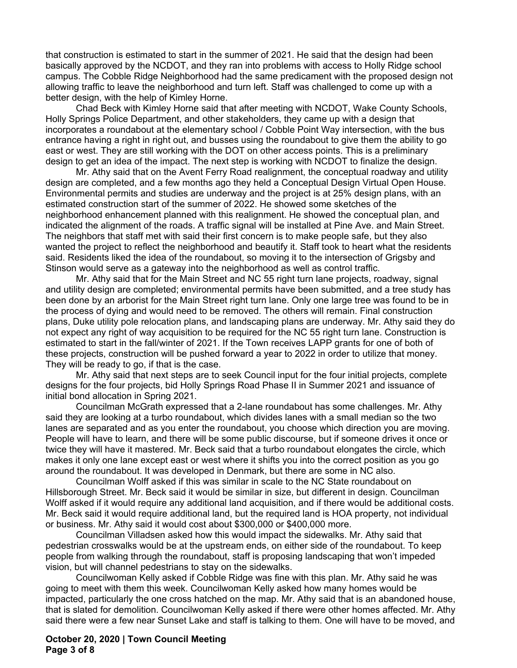that construction is estimated to start in the summer of 2021. He said that the design had been basically approved by the NCDOT, and they ran into problems with access to Holly Ridge school campus. The Cobble Ridge Neighborhood had the same predicament with the proposed design not allowing traffic to leave the neighborhood and turn left. Staff was challenged to come up with a better design, with the help of Kimley Horne.

Chad Beck with Kimley Horne said that after meeting with NCDOT, Wake County Schools, Holly Springs Police Department, and other stakeholders, they came up with a design that incorporates a roundabout at the elementary school / Cobble Point Way intersection, with the bus entrance having a right in right out, and busses using the roundabout to give them the ability to go east or west. They are still working with the DOT on other access points. This is a preliminary design to get an idea of the impact. The next step is working with NCDOT to finalize the design.

Mr. Athy said that on the Avent Ferry Road realignment, the conceptual roadway and utility design are completed, and a few months ago they held a Conceptual Design Virtual Open House. Environmental permits and studies are underway and the project is at 25% design plans, with an estimated construction start of the summer of 2022. He showed some sketches of the neighborhood enhancement planned with this realignment. He showed the conceptual plan, and indicated the alignment of the roads. A traffic signal will be installed at Pine Ave. and Main Street. The neighbors that staff met with said their first concern is to make people safe, but they also wanted the project to reflect the neighborhood and beautify it. Staff took to heart what the residents said. Residents liked the idea of the roundabout, so moving it to the intersection of Grigsby and Stinson would serve as a gateway into the neighborhood as well as control traffic.

Mr. Athy said that for the Main Street and NC 55 right turn lane projects, roadway, signal and utility design are completed; environmental permits have been submitted, and a tree study has been done by an arborist for the Main Street right turn lane. Only one large tree was found to be in the process of dying and would need to be removed. The others will remain. Final construction plans, Duke utility pole relocation plans, and landscaping plans are underway. Mr. Athy said they do not expect any right of way acquisition to be required for the NC 55 right turn lane. Construction is estimated to start in the fall/winter of 2021. If the Town receives LAPP grants for one of both of these projects, construction will be pushed forward a year to 2022 in order to utilize that money. They will be ready to go, if that is the case.

Mr. Athy said that next steps are to seek Council input for the four initial projects, complete designs for the four projects, bid Holly Springs Road Phase II in Summer 2021 and issuance of initial bond allocation in Spring 2021.

Councilman McGrath expressed that a 2-lane roundabout has some challenges. Mr. Athy said they are looking at a turbo roundabout, which divides lanes with a small median so the two lanes are separated and as you enter the roundabout, you choose which direction you are moving. People will have to learn, and there will be some public discourse, but if someone drives it once or twice they will have it mastered. Mr. Beck said that a turbo roundabout elongates the circle, which makes it only one lane except east or west where it shifts you into the correct position as you go around the roundabout. It was developed in Denmark, but there are some in NC also.

Councilman Wolff asked if this was similar in scale to the NC State roundabout on Hillsborough Street. Mr. Beck said it would be similar in size, but different in design. Councilman Wolff asked if it would require any additional land acquisition, and if there would be additional costs. Mr. Beck said it would require additional land, but the required land is HOA property, not individual or business. Mr. Athy said it would cost about \$300,000 or \$400,000 more.

Councilman Villadsen asked how this would impact the sidewalks. Mr. Athy said that pedestrian crosswalks would be at the upstream ends, on either side of the roundabout. To keep people from walking through the roundabout, staff is proposing landscaping that won't impeded vision, but will channel pedestrians to stay on the sidewalks.

Councilwoman Kelly asked if Cobble Ridge was fine with this plan. Mr. Athy said he was going to meet with them this week. Councilwoman Kelly asked how many homes would be impacted, particularly the one cross hatched on the map. Mr. Athy said that is an abandoned house, that is slated for demolition. Councilwoman Kelly asked if there were other homes affected. Mr. Athy said there were a few near Sunset Lake and staff is talking to them. One will have to be moved, and

### **October 20, 2020 | Town Council Meeting Page 3 of 8**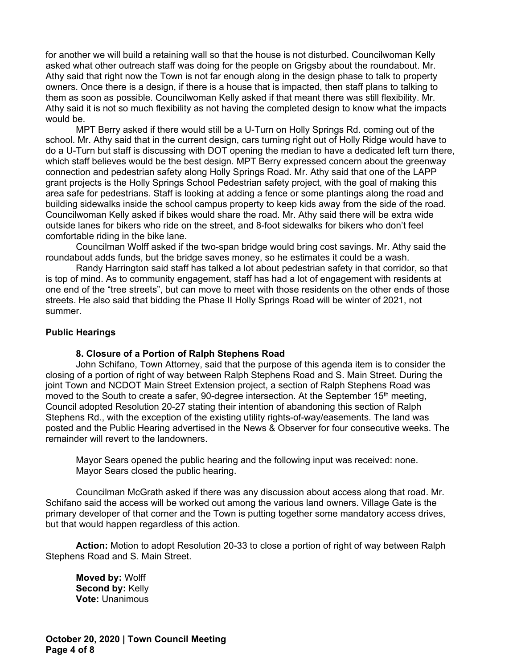for another we will build a retaining wall so that the house is not disturbed. Councilwoman Kelly asked what other outreach staff was doing for the people on Grigsby about the roundabout. Mr. Athy said that right now the Town is not far enough along in the design phase to talk to property owners. Once there is a design, if there is a house that is impacted, then staff plans to talking to them as soon as possible. Councilwoman Kelly asked if that meant there was still flexibility. Mr. Athy said it is not so much flexibility as not having the completed design to know what the impacts would be.

MPT Berry asked if there would still be a U-Turn on Holly Springs Rd. coming out of the school. Mr. Athy said that in the current design, cars turning right out of Holly Ridge would have to do a U-Turn but staff is discussing with DOT opening the median to have a dedicated left turn there, which staff believes would be the best design. MPT Berry expressed concern about the greenway connection and pedestrian safety along Holly Springs Road. Mr. Athy said that one of the LAPP grant projects is the Holly Springs School Pedestrian safety project, with the goal of making this area safe for pedestrians. Staff is looking at adding a fence or some plantings along the road and building sidewalks inside the school campus property to keep kids away from the side of the road. Councilwoman Kelly asked if bikes would share the road. Mr. Athy said there will be extra wide outside lanes for bikers who ride on the street, and 8-foot sidewalks for bikers who don't feel comfortable riding in the bike lane.

Councilman Wolff asked if the two-span bridge would bring cost savings. Mr. Athy said the roundabout adds funds, but the bridge saves money, so he estimates it could be a wash.

Randy Harrington said staff has talked a lot about pedestrian safety in that corridor, so that is top of mind. As to community engagement, staff has had a lot of engagement with residents at one end of the "tree streets", but can move to meet with those residents on the other ends of those streets. He also said that bidding the Phase II Holly Springs Road will be winter of 2021, not summer.

#### **Public Hearings**

#### **8. Closure of a Portion of Ralph Stephens Road**

John Schifano, Town Attorney, said that the purpose of this agenda item is to consider the closing of a portion of right of way between Ralph Stephens Road and S. Main Street. During the joint Town and NCDOT Main Street Extension project, a section of Ralph Stephens Road was moved to the South to create a safer, 90-degree intersection. At the September  $15<sup>th</sup>$  meeting, Council adopted Resolution 20-27 stating their intention of abandoning this section of Ralph Stephens Rd., with the exception of the existing utility rights-of-way/easements. The land was posted and the Public Hearing advertised in the News & Observer for four consecutive weeks. The remainder will revert to the landowners.

Mayor Sears opened the public hearing and the following input was received: none. Mayor Sears closed the public hearing.

Councilman McGrath asked if there was any discussion about access along that road. Mr. Schifano said the access will be worked out among the various land owners. Village Gate is the primary developer of that corner and the Town is putting together some mandatory access drives, but that would happen regardless of this action.

**Action:** Motion to adopt Resolution 20-33 to close a portion of right of way between Ralph Stephens Road and S. Main Street.

**Moved by:** Wolff **Second by:** Kelly **Vote:** Unanimous

**October 20, 2020 | Town Council Meeting Page 4 of 8**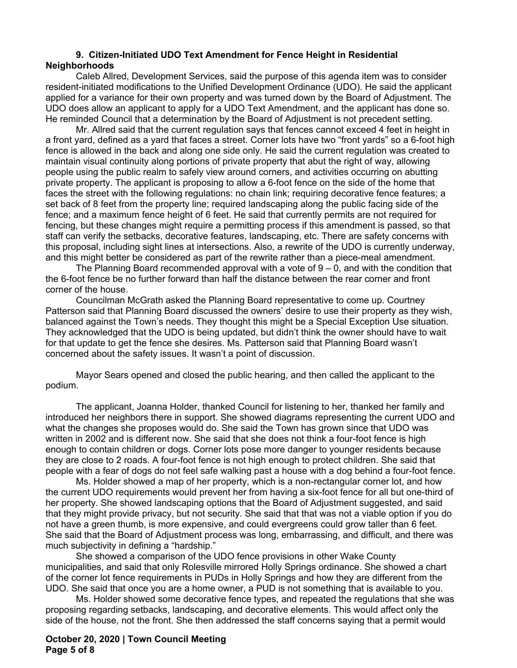### **9. Citizen-Initiated UDO Text Amendment for Fence Height in Residential Neighborhoods**

Caleb Allred, Development Services, said the purpose of this agenda item was to consider resident-initiated modifications to the Unified Development Ordinance (UDO). He said the applicant applied for a variance for their own property and was turned down by the Board of Adjustment. The UDO does allow an applicant to apply for a UDO Text Amendment, and the applicant has done so. He reminded Council that a determination by the Board of Adjustment is not precedent setting.

Mr. Allred said that the current regulation says that fences cannot exceed 4 feet in height in a front yard, defined as a yard that faces a street. Corner lots have two "front yards" so a 6-foot high fence is allowed in the back and along one side only. He said the current regulation was created to maintain visual continuity along portions of private property that abut the right of way, allowing people using the public realm to safely view around corners, and activities occurring on abutting private property. The applicant is proposing to allow a 6-foot fence on the side of the home that faces the street with the following regulations: no chain link; requiring decorative fence features; a set back of 8 feet from the property line; required landscaping along the public facing side of the fence; and a maximum fence height of 6 feet. He said that currently permits are not required for fencing, but these changes might require a permitting process if this amendment is passed, so that staff can verify the setbacks, decorative features, landscaping, etc. There are safety concerns with this proposal, including sight lines at intersections. Also, a rewrite of the UDO is currently underway, and this might better be considered as part of the rewrite rather than a piece-meal amendment.

The Planning Board recommended approval with a vote of  $9 - 0$ , and with the condition that the 6-foot fence be no further forward than half the distance between the rear corner and front corner of the house.

Councilman McGrath asked the Planning Board representative to come up. Courtney Patterson said that Planning Board discussed the owners' desire to use their property as they wish, balanced against the Town's needs. They thought this might be a Special Exception Use situation. They acknowledged that the UDO is being updated, but didn't think the owner should have to wait for that update to get the fence she desires. Ms. Patterson said that Planning Board wasn't concerned about the safety issues. It wasn't a point of discussion.

Mayor Sears opened and closed the public hearing, and then called the applicant to the podium.

The applicant, Joanna Holder, thanked Council for listening to her, thanked her family and introduced her neighbors there in support. She showed diagrams representing the current UDO and what the changes she proposes would do. She said the Town has grown since that UDO was written in 2002 and is different now. She said that she does not think a four-foot fence is high enough to contain children or dogs. Corner lots pose more danger to younger residents because they are close to 2 roads. A four-foot fence is not high enough to protect children. She said that people with a fear of dogs do not feel safe walking past a house with a dog behind a four-foot fence.

Ms. Holder showed a map of her property, which is a non-rectangular corner lot, and how the current UDO requirements would prevent her from having a six-foot fence for all but one-third of her property. She showed landscaping options that the Board of Adjustment suggested, and said that they might provide privacy, but not security. She said that that was not a viable option if you do not have a green thumb, is more expensive, and could evergreens could grow taller than 6 feet. She said that the Board of Adjustment process was long, embarrassing, and difficult, and there was much subjectivity in defining a "hardship."

She showed a comparison of the UDO fence provisions in other Wake County municipalities, and said that only Rolesville mirrored Holly Springs ordinance. She showed a chart of the corner lot fence requirements in PUDs in Holly Springs and how they are different from the UDO. She said that once you are a home owner, a PUD is not something that is available to you.

Ms. Holder showed some decorative fence types, and repeated the regulations that she was proposing regarding setbacks, landscaping, and decorative elements. This would affect only the side of the house, not the front. She then addressed the staff concerns saying that a permit would

### **October 20, 2020 | Town Council Meeting Page 5 of 8**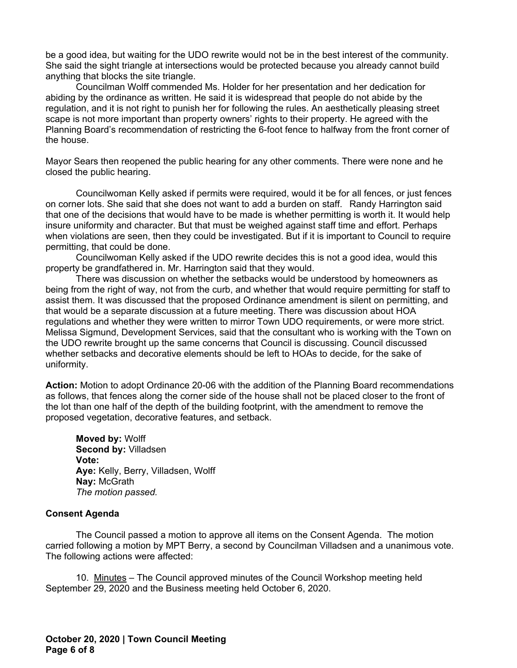be a good idea, but waiting for the UDO rewrite would not be in the best interest of the community. She said the sight triangle at intersections would be protected because you already cannot build anything that blocks the site triangle.

Councilman Wolff commended Ms. Holder for her presentation and her dedication for abiding by the ordinance as written. He said it is widespread that people do not abide by the regulation, and it is not right to punish her for following the rules. An aesthetically pleasing street scape is not more important than property owners' rights to their property. He agreed with the Planning Board's recommendation of restricting the 6-foot fence to halfway from the front corner of the house.

Mayor Sears then reopened the public hearing for any other comments. There were none and he closed the public hearing.

Councilwoman Kelly asked if permits were required, would it be for all fences, or just fences on corner lots. She said that she does not want to add a burden on staff. Randy Harrington said that one of the decisions that would have to be made is whether permitting is worth it. It would help insure uniformity and character. But that must be weighed against staff time and effort. Perhaps when violations are seen, then they could be investigated. But if it is important to Council to require permitting, that could be done.

Councilwoman Kelly asked if the UDO rewrite decides this is not a good idea, would this property be grandfathered in. Mr. Harrington said that they would.

There was discussion on whether the setbacks would be understood by homeowners as being from the right of way, not from the curb, and whether that would require permitting for staff to assist them. It was discussed that the proposed Ordinance amendment is silent on permitting, and that would be a separate discussion at a future meeting. There was discussion about HOA regulations and whether they were written to mirror Town UDO requirements, or were more strict. Melissa Sigmund, Development Services, said that the consultant who is working with the Town on the UDO rewrite brought up the same concerns that Council is discussing. Council discussed whether setbacks and decorative elements should be left to HOAs to decide, for the sake of uniformity.

**Action:** Motion to adopt Ordinance 20-06 with the addition of the Planning Board recommendations as follows, that fences along the corner side of the house shall not be placed closer to the front of the lot than one half of the depth of the building footprint, with the amendment to remove the proposed vegetation, decorative features, and setback.

**Moved by:** Wolff **Second by:** Villadsen **Vote: Aye:** Kelly, Berry, Villadsen, Wolff **Nay:** McGrath *The motion passed.*

#### **Consent Agenda**

The Council passed a motion to approve all items on the Consent Agenda. The motion carried following a motion by MPT Berry, a second by Councilman Villadsen and a unanimous vote. The following actions were affected:

10. Minutes – The Council approved minutes of the Council Workshop meeting held September 29, 2020 and the Business meeting held October 6, 2020.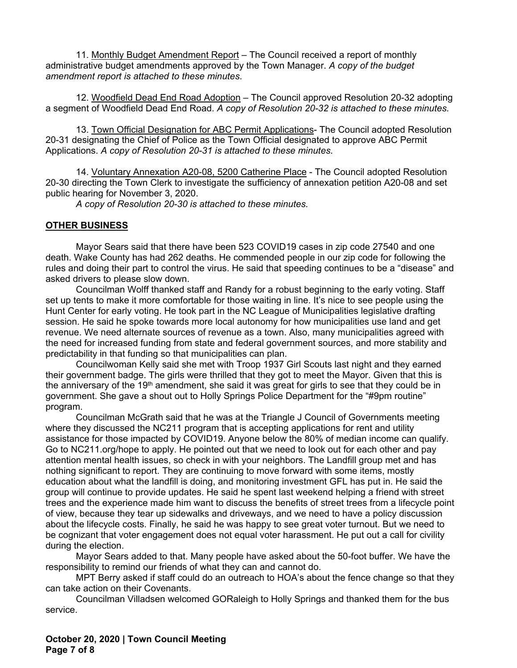11. Monthly Budget Amendment Report – The Council received a report of monthly administrative budget amendments approved by the Town Manager. *A copy of the budget amendment report is attached to these minutes*.

12. Woodfield Dead End Road Adoption – The Council approved Resolution 20-32 adopting a segment of Woodfield Dead End Road. *A copy of Resolution 20-32 is attached to these minutes.*

13. Town Official Designation for ABC Permit Applications- The Council adopted Resolution 20-31 designating the Chief of Police as the Town Official designated to approve ABC Permit Applications. *A copy of Resolution 20-31 is attached to these minutes.*

14. Voluntary Annexation A20-08, 5200 Catherine Place - The Council adopted Resolution 20-30 directing the Town Clerk to investigate the sufficiency of annexation petition A20-08 and set public hearing for November 3, 2020.

*A copy of Resolution 20-30 is attached to these minutes.*

### **OTHER BUSINESS**

Mayor Sears said that there have been 523 COVID19 cases in zip code 27540 and one death. Wake County has had 262 deaths. He commended people in our zip code for following the rules and doing their part to control the virus. He said that speeding continues to be a "disease" and asked drivers to please slow down.

Councilman Wolff thanked staff and Randy for a robust beginning to the early voting. Staff set up tents to make it more comfortable for those waiting in line. It's nice to see people using the Hunt Center for early voting. He took part in the NC League of Municipalities legislative drafting session. He said he spoke towards more local autonomy for how municipalities use land and get revenue. We need alternate sources of revenue as a town. Also, many municipalities agreed with the need for increased funding from state and federal government sources, and more stability and predictability in that funding so that municipalities can plan.

Councilwoman Kelly said she met with Troop 1937 Girl Scouts last night and they earned their government badge. The girls were thrilled that they got to meet the Mayor. Given that this is the anniversary of the 19<sup>th</sup> amendment, she said it was great for girls to see that they could be in government. She gave a shout out to Holly Springs Police Department for the "#9pm routine" program.

Councilman McGrath said that he was at the Triangle J Council of Governments meeting where they discussed the NC211 program that is accepting applications for rent and utility assistance for those impacted by COVID19. Anyone below the 80% of median income can qualify. Go to NC211.org/hope to apply. He pointed out that we need to look out for each other and pay attention mental health issues, so check in with your neighbors. The Landfill group met and has nothing significant to report. They are continuing to move forward with some items, mostly education about what the landfill is doing, and monitoring investment GFL has put in. He said the group will continue to provide updates. He said he spent last weekend helping a friend with street trees and the experience made him want to discuss the benefits of street trees from a lifecycle point of view, because they tear up sidewalks and driveways, and we need to have a policy discussion about the lifecycle costs. Finally, he said he was happy to see great voter turnout. But we need to be cognizant that voter engagement does not equal voter harassment. He put out a call for civility during the election.

Mayor Sears added to that. Many people have asked about the 50-foot buffer. We have the responsibility to remind our friends of what they can and cannot do.

MPT Berry asked if staff could do an outreach to HOA's about the fence change so that they can take action on their Covenants.

Councilman Villadsen welcomed GORaleigh to Holly Springs and thanked them for the bus service.

**October 20, 2020 | Town Council Meeting Page 7 of 8**